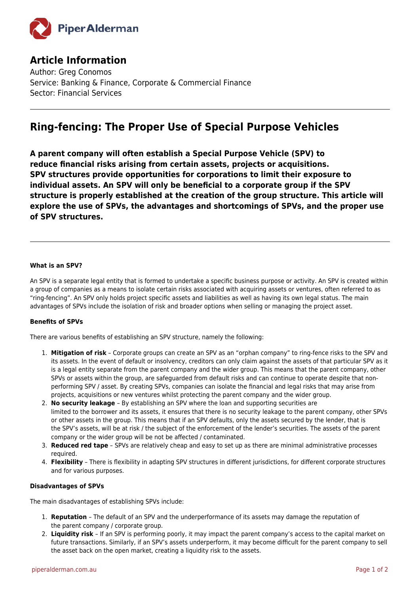

## **Article Information**

Author: Greg Conomos Service: Banking & Finance, Corporate & Commercial Finance Sector: Financial Services

# **Ring-fencing: The Proper Use of Special Purpose Vehicles**

**A parent company will often establish a Special Purpose Vehicle (SPV) to reduce financial risks arising from certain assets, projects or acquisitions. SPV structures provide opportunities for corporations to limit their exposure to individual assets. An SPV will only be beneficial to a corporate group if the SPV structure is properly established at the creation of the group structure. This article will explore the use of SPVs, the advantages and shortcomings of SPVs, and the proper use of SPV structures.**

### **What is an SPV?**

An SPV is a separate legal entity that is formed to undertake a specific business purpose or activity. An SPV is created within a group of companies as a means to isolate certain risks associated with acquiring assets or ventures, often referred to as "ring-fencing". An SPV only holds project specific assets and liabilities as well as having its own legal status. The main advantages of SPVs include the isolation of risk and broader options when selling or managing the project asset.

#### **Benefits of SPVs**

There are various benefits of establishing an SPV structure, namely the following:

- 1. **Mitigation of risk** Corporate groups can create an SPV as an "orphan company" to ring-fence risks to the SPV and its assets. In the event of default or insolvency, creditors can only claim against the assets of that particular SPV as it is a legal entity separate from the parent company and the wider group. This means that the parent company, other SPVs or assets within the group, are safeguarded from default risks and can continue to operate despite that nonperforming SPV / asset. By creating SPVs, companies can isolate the financial and legal risks that may arise from projects, acquisitions or new ventures whilst protecting the parent company and the wider group.
- 2. **No security leakage**  By establishing an SPV where the loan and supporting securities are limited to the borrower and its assets, it ensures that there is no security leakage to the parent company, other SPVs or other assets in the group. This means that if an SPV defaults, only the assets secured by the lender, that is the SPV's assets, will be at risk / the subject of the enforcement of the lender's securities. The assets of the parent company or the wider group will be not be affected / contaminated.
- 3. **Reduced red tape** SPVs are relatively cheap and easy to set up as there are minimal administrative processes required.
- 4. **Flexibility** There is flexibility in adapting SPV structures in different jurisdictions, for different corporate structures and for various purposes.

#### **Disadvantages of SPVs**

The main disadvantages of establishing SPVs include:

- 1. **Reputation**  The default of an SPV and the underperformance of its assets may damage the reputation of the parent company / corporate group.
- 2. **Liquidity risk**  If an SPV is performing poorly, it may impact the parent company's access to the capital market on future transactions. Similarly, if an SPV's assets underperform, it may become difficult for the parent company to sell the asset back on the open market, creating a liquidity risk to the assets.